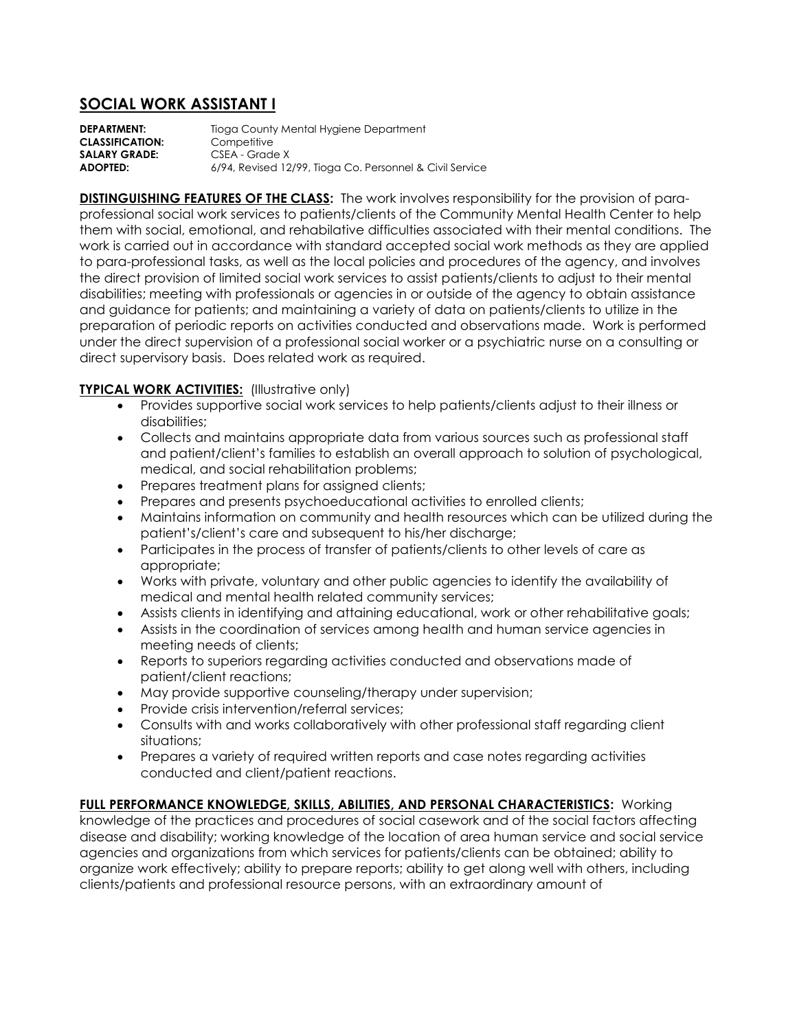## **SOCIAL WORK ASSISTANT I**

**DEPARTMENT:** Tioga County Mental Hygiene Department<br>**CLASSIFICATION:** Competitive **CLASSIFICATION:** SALARY GRADE: CSEA - Grade X **ADOPTED:** 6/94, Revised 12/99, Tioga Co. Personnel & Civil Service

**DISTINGUISHING FEATURES OF THE CLASS:** The work involves responsibility for the provision of paraprofessional social work services to patients/clients of the Community Mental Health Center to help them with social, emotional, and rehabilative difficulties associated with their mental conditions. The work is carried out in accordance with standard accepted social work methods as they are applied to para-professional tasks, as well as the local policies and procedures of the agency, and involves the direct provision of limited social work services to assist patients/clients to adjust to their mental disabilities; meeting with professionals or agencies in or outside of the agency to obtain assistance and guidance for patients; and maintaining a variety of data on patients/clients to utilize in the preparation of periodic reports on activities conducted and observations made. Work is performed under the direct supervision of a professional social worker or a psychiatric nurse on a consulting or direct supervisory basis. Does related work as required.

## **TYPICAL WORK ACTIVITIES:** (Illustrative only)

- Provides supportive social work services to help patients/clients adjust to their illness or disabilities;
- Collects and maintains appropriate data from various sources such as professional staff and patient/client's families to establish an overall approach to solution of psychological, medical, and social rehabilitation problems;
- Prepares treatment plans for assigned clients;
- Prepares and presents psychoeducational activities to enrolled clients;
- Maintains information on community and health resources which can be utilized during the patient's/client's care and subsequent to his/her discharge;
- Participates in the process of transfer of patients/clients to other levels of care as appropriate;
- Works with private, voluntary and other public agencies to identify the availability of medical and mental health related community services;
- Assists clients in identifying and attaining educational, work or other rehabilitative goals;
- Assists in the coordination of services among health and human service agencies in meeting needs of clients;
- Reports to superiors regarding activities conducted and observations made of patient/client reactions;
- May provide supportive counseling/therapy under supervision;
- Provide crisis intervention/referral services;
- Consults with and works collaboratively with other professional staff regarding client situations;
- Prepares a variety of required written reports and case notes regarding activities conducted and client/patient reactions.

**FULL PERFORMANCE KNOWLEDGE, SKILLS, ABILITIES, AND PERSONAL CHARACTERISTICS:** Working knowledge of the practices and procedures of social casework and of the social factors affecting disease and disability; working knowledge of the location of area human service and social service agencies and organizations from which services for patients/clients can be obtained; ability to organize work effectively; ability to prepare reports; ability to get along well with others, including clients/patients and professional resource persons, with an extraordinary amount of